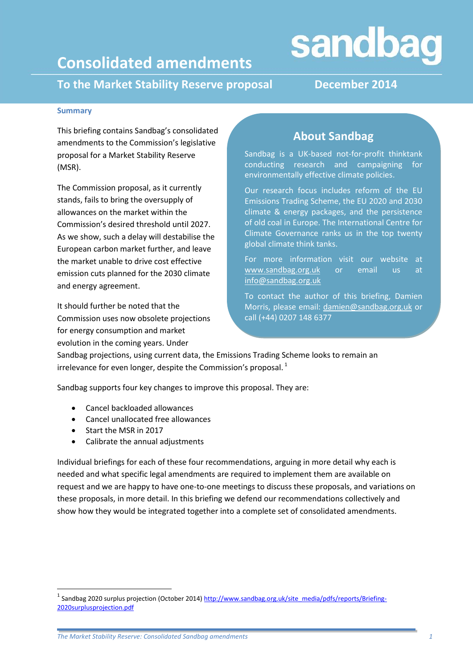# sandbag

## **Consolidated amendments**

**To the Market Stability Reserve proposal December 2014**

#### **Summary**

This briefing contains Sandbag's consolidated amendments to the Commission's legislative proposal for a Market Stability Reserve (MSR).

The Commission proposal, as it currently stands, fails to bring the oversupply of allowances on the market within the Commission's desired threshold until 2027. As we show, such a delay will destabilise the European carbon market further, and leave the market unable to drive cost effective emission cuts planned for the 2030 climate and energy agreement.

It should further be noted that the Commission uses now obsolete projections for energy consumption and market evolution in the coming years. Under

### **About Sandbag**

Sandbag is a UK-based not-for-profit thinktank conducting research and campaigning for environmentally effective climate policies.

Our research focus includes reform of the EU Emissions Trading Scheme, the EU 2020 and 2030 climate & energy packages, and the persistence of old coal in Europe. The International Centre for Climate Governance ranks us in the top twenty global climate think tanks.

For more information visit our website at [www.sandbag.org.uk](http://www.sandbag.org.uk/) or email us at [info@sandbag.org.uk](mailto:info@sandbag.org.uk)

To contact the author of this briefing, Damien Morris, please email: [damien@sandbag.org.uk](mailto:damien@sandbag.org.uk) or call (+44) 0207 148 6377

Sandbag projections, using current data, the Emissions Trading Scheme looks to remain an irrelevance for even longer, despite the Commission's proposal. $<sup>1</sup>$ </sup>

Sandbag supports four key changes to improve this proposal. They are:

- Cancel backloaded allowances
- Cancel unallocated free allowances
- Start the MSR in 2017

**.** 

Calibrate the annual adjustments

Individual briefings for each of these four recommendations, arguing in more detail why each is needed and what specific legal amendments are required to implement them are available on request and we are happy to have one-to-one meetings to discuss these proposals, and variations on these proposals, in more detail. In this briefing we defend our recommendations collectively and show how they would be integrated together into a complete set of consolidated amendments.

<sup>&</sup>lt;sup>1</sup> Sandbag 2020 surplus projection (October 2014) [http://www.sandbag.org.uk/site\\_media/pdfs/reports/Briefing-](http://www.sandbag.org.uk/site_media/pdfs/reports/Briefing-2020surplusprojection.pdf)[2020surplusprojection.pdf](http://www.sandbag.org.uk/site_media/pdfs/reports/Briefing-2020surplusprojection.pdf)

*The Market Stability Reserve: Consolidated Sandbag amendments 1*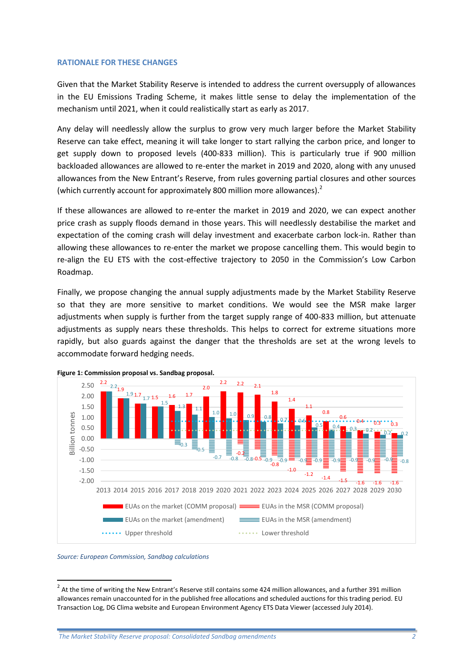#### **RATIONALE FOR THESE CHANGES**

Given that the Market Stability Reserve is intended to address the current oversupply of allowances in the EU Emissions Trading Scheme, it makes little sense to delay the implementation of the mechanism until 2021, when it could realistically start as early as 2017.

Any delay will needlessly allow the surplus to grow very much larger before the Market Stability Reserve can take effect, meaning it will take longer to start rallying the carbon price, and longer to get supply down to proposed levels (400-833 million). This is particularly true if 900 million backloaded allowances are allowed to re-enter the market in 2019 and 2020, along with any unused allowances from the New Entrant's Reserve, from rules governing partial closures and other sources (which currently account for approximately 800 million more allowances).<sup>2</sup>

If these allowances are allowed to re-enter the market in 2019 and 2020, we can expect another price crash as supply floods demand in those years. This will needlessly destabilise the market and expectation of the coming crash will delay investment and exacerbate carbon lock-in. Rather than allowing these allowances to re-enter the market we propose cancelling them. This would begin to re-align the EU ETS with the cost-effective trajectory to 2050 in the Commission's Low Carbon Roadmap.

Finally, we propose changing the annual supply adjustments made by the Market Stability Reserve so that they are more sensitive to market conditions. We would see the MSR make larger adjustments when supply is further from the target supply range of 400-833 million, but attenuate adjustments as supply nears these thresholds. This helps to correct for extreme situations more rapidly, but also guards against the danger that the thresholds are set at the wrong levels to accommodate forward hedging needs.



<span id="page-1-0"></span>

#### *Source: European Commission, Sandbag calculations*

1

 $^2$  At the time of writing the New Entrant's Reserve still contains some 424 million allowances, and a further 391 million allowances remain unaccounted for in the published free allocations and scheduled auctions for this trading period. EU Transaction Log, DG Clima website and European Environment Agency ETS Data Viewer (accessed July 2014).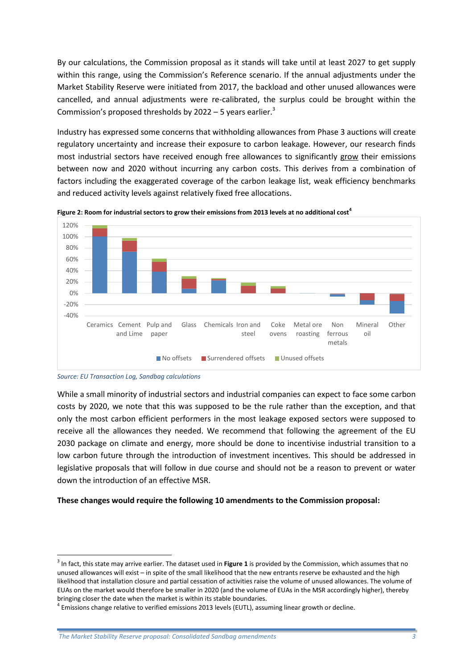By our calculations, the Commission proposal as it stands will take until at least 2027 to get supply within this range, using the Commission's Reference scenario. If the annual adjustments under the Market Stability Reserve were initiated from 2017, the backload and other unused allowances were cancelled, and annual adjustments were re-calibrated, the surplus could be brought within the Commission's proposed thresholds by  $2022 - 5$  years earlier.<sup>3</sup>

Industry has expressed some concerns that withholding allowances from Phase 3 auctions will create regulatory uncertainty and increase their exposure to carbon leakage. However, our research finds most industrial sectors have received enough free allowances to significantly grow their emissions between now and 2020 without incurring any carbon costs. This derives from a combination of factors including the exaggerated coverage of the carbon leakage list, weak efficiency benchmarks and reduced activity levels against relatively fixed free allocations.





**.** 

While a small minority of industrial sectors and industrial companies can expect to face some carbon costs by 2020, we note that this was supposed to be the rule rather than the exception, and that only the most carbon efficient performers in the most leakage exposed sectors were supposed to receive all the allowances they needed. We recommend that following the agreement of the EU 2030 package on climate and energy, more should be done to incentivise industrial transition to a low carbon future through the introduction of investment incentives. This should be addressed in legislative proposals that will follow in due course and should not be a reason to prevent or water down the introduction of an effective MSR.

#### **These changes would require the following 10 amendments to the Commission proposal:**

*Source: EU Transaction Log, Sandbag calculations*

<sup>3</sup> In fact, this state may arrive earlier. The dataset used in **[Figure 1](#page-1-0)** is provided by the Commission, which assumes that no unused allowances will exist – in spite of the small likelihood that the new entrants reserve be exhausted and the high likelihood that installation closure and partial cessation of activities raise the volume of unused allowances. The volume of EUAs on the market would therefore be smaller in 2020 (and the volume of EUAs in the MSR accordingly higher), thereby bringing closer the date when the market is within its stable boundaries.

<sup>&</sup>lt;sup>4</sup> Emissions change relative to verified emissions 2013 levels (EUTL), assuming linear growth or decline.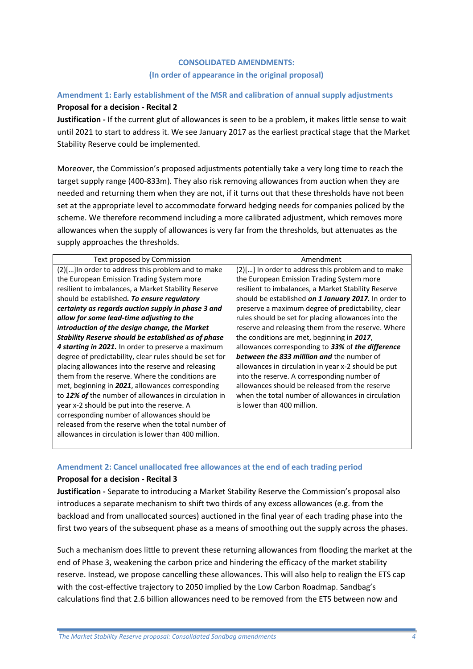#### **CONSOLIDATED AMENDMENTS: (In order of appearance in the original proposal)**

#### **Amendment 1: Early establishment of the MSR and calibration of annual supply adjustments**

#### **Proposal for a decision - Recital 2**

**Justification -** If the current glut of allowances is seen to be a problem, it makes little sense to wait until 2021 to start to address it. We see January 2017 as the earliest practical stage that the Market Stability Reserve could be implemented.

Moreover, the Commission's proposed adjustments potentially take a very long time to reach the target supply range (400-833m). They also risk removing allowances from auction when they are needed and returning them when they are not, if it turns out that these thresholds have not been set at the appropriate level to accommodate forward hedging needs for companies policed by the scheme. We therefore recommend including a more calibrated adjustment, which removes more allowances when the supply of allowances is very far from the thresholds, but attenuates as the supply approaches the thresholds.

| Text proposed by Commission                             | Amendment                                            |
|---------------------------------------------------------|------------------------------------------------------|
| (2)[] In order to address this problem and to make      | (2)[] In order to address this problem and to make   |
| the European Emission Trading System more               | the European Emission Trading System more            |
| resilient to imbalances, a Market Stability Reserve     | resilient to imbalances, a Market Stability Reserve  |
| should be established. To ensure regulatory             | should be established on 1 January 2017. In order to |
| certainty as regards auction supply in phase 3 and      | preserve a maximum degree of predictability, clear   |
| allow for some lead-time adjusting to the               | rules should be set for placing allowances into the  |
| introduction of the design change, the Market           | reserve and releasing them from the reserve. Where   |
| Stability Reserve should be established as of phase     | the conditions are met, beginning in 2017,           |
| 4 starting in 2021. In order to preserve a maximum      | allowances corresponding to 33% of the difference    |
| degree of predictability, clear rules should be set for | <b>between the 833 milllion and the number of</b>    |
| placing allowances into the reserve and releasing       | allowances in circulation in year x-2 should be put  |
| them from the reserve. Where the conditions are         | into the reserve. A corresponding number of          |
| met, beginning in 2021, allowances corresponding        | allowances should be released from the reserve       |
| to 12% of the number of allowances in circulation in    | when the total number of allowances in circulation   |
| year x-2 should be put into the reserve. A              | is lower than 400 million.                           |
| corresponding number of allowances should be            |                                                      |
| released from the reserve when the total number of      |                                                      |
| allowances in circulation is lower than 400 million.    |                                                      |
|                                                         |                                                      |

#### **Amendment 2: Cancel unallocated free allowances at the end of each trading period**

#### **Proposal for a decision - Recital 3**

**Justification -** Separate to introducing a Market Stability Reserve the Commission's proposal also introduces a separate mechanism to shift two thirds of any excess allowances (e.g. from the backload and from unallocated sources) auctioned in the final year of each trading phase into the first two years of the subsequent phase as a means of smoothing out the supply across the phases.

Such a mechanism does little to prevent these returning allowances from flooding the market at the end of Phase 3, weakening the carbon price and hindering the efficacy of the market stability reserve. Instead, we propose cancelling these allowances. This will also help to realign the ETS cap with the cost-effective trajectory to 2050 implied by the Low Carbon Roadmap. Sandbag's calculations find that 2.6 billion allowances need to be removed from the ETS between now and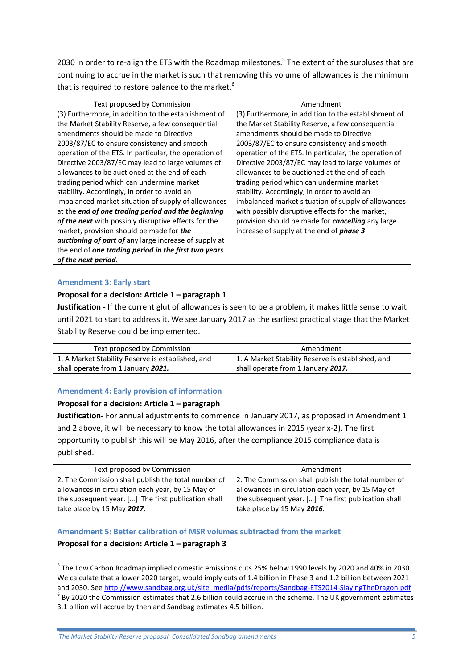2030 in order to re-align the ETS with the Roadmap milestones.<sup>5</sup> The extent of the surpluses that are continuing to accrue in the market is such that removing this volume of allowances is the minimum that is required to restore balance to the market.<sup>6</sup>

| Text proposed by Commission                                  | Amendment                                                |
|--------------------------------------------------------------|----------------------------------------------------------|
| (3) Furthermore, in addition to the establishment of         | (3) Furthermore, in addition to the establishment of     |
| the Market Stability Reserve, a few consequential            | the Market Stability Reserve, a few consequential        |
| amendments should be made to Directive                       | amendments should be made to Directive                   |
| 2003/87/EC to ensure consistency and smooth                  | 2003/87/EC to ensure consistency and smooth              |
| operation of the ETS. In particular, the operation of        | operation of the ETS. In particular, the operation of    |
| Directive 2003/87/EC may lead to large volumes of            | Directive 2003/87/EC may lead to large volumes of        |
| allowances to be auctioned at the end of each                | allowances to be auctioned at the end of each            |
| trading period which can undermine market                    | trading period which can undermine market                |
| stability. Accordingly, in order to avoid an                 | stability. Accordingly, in order to avoid an             |
| imbalanced market situation of supply of allowances          | imbalanced market situation of supply of allowances      |
| at the end of one trading period and the beginning           | with possibly disruptive effects for the market,         |
| of the next with possibly disruptive effects for the         | provision should be made for <b>cancelling</b> any large |
| market, provision should be made for the                     | increase of supply at the end of <b>phase 3</b> .        |
| <b>auctioning of part of</b> any large increase of supply at |                                                          |
| the end of one trading period in the first two years         |                                                          |
| of the next period.                                          |                                                          |

#### **Amendment 3: Early start**

#### **Proposal for a decision: Article 1 – paragraph 1**

**Justification -** If the current glut of allowances is seen to be a problem, it makes little sense to wait until 2021 to start to address it. We see January 2017 as the earliest practical stage that the Market Stability Reserve could be implemented.

| Text proposed by Commission                       | Amendment                                         |
|---------------------------------------------------|---------------------------------------------------|
| 1. A Market Stability Reserve is established, and | 1. A Market Stability Reserve is established, and |
| shall operate from 1 January 2021.                | shall operate from 1 January 2017.                |

#### **Amendment 4: Early provision of information**

#### **Proposal for a decision: Article 1 – paragraph**

**Justification-** For annual adjustments to commence in January 2017, as proposed in Amendment 1 and 2 above, it will be necessary to know the total allowances in 2015 (year x-2). The first opportunity to publish this will be May 2016, after the compliance 2015 compliance data is published.

| Text proposed by Commission                         | Amendment                                           |
|-----------------------------------------------------|-----------------------------------------------------|
| 2. The Commission shall publish the total number of | 2. The Commission shall publish the total number of |
| allowances in circulation each year, by 15 May of   | allowances in circulation each year, by 15 May of   |
| the subsequent year. [] The first publication shall | the subsequent year. [] The first publication shall |
| take place by 15 May 2017.                          | take place by 15 May 2016.                          |

#### **Amendment 5: Better calibration of MSR volumes subtracted from the market**

#### **Proposal for a decision: Article 1 – paragraph 3**

 $\overline{a}$ 

<sup>&</sup>lt;sup>5</sup> The Low Carbon Roadmap implied domestic emissions cuts 25% below 1990 levels by 2020 and 40% in 2030. We calculate that a lower 2020 target, would imply cuts of 1.4 billion in Phase 3 and 1.2 billion between 2021 and 2030. Se[e http://www.sandbag.org.uk/site\\_media/pdfs/reports/Sandbag-ETS2014-SlayingTheDragon.pdf](http://www.sandbag.org.uk/site_media/pdfs/reports/Sandbag-ETS2014-SlayingTheDragon.pdf)  $<sup>6</sup>$  By 2020 the Commission estimates that 2.6 billion could accrue in the scheme. The UK government estimates</sup> 3.1 billion will accrue by then and Sandbag estimates 4.5 billion.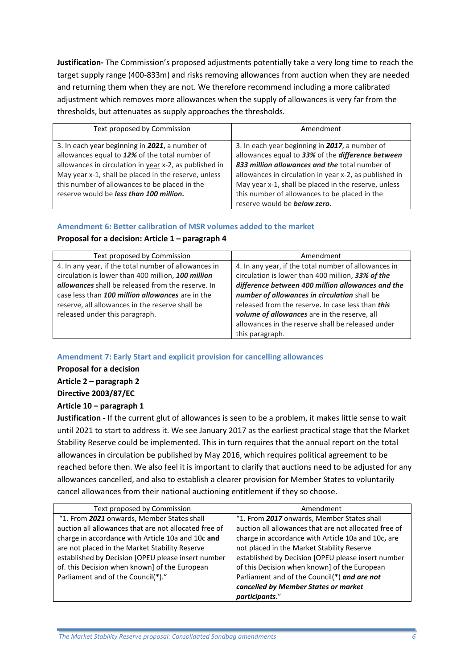**Justification-** The Commission's proposed adjustments potentially take a very long time to reach the target supply range (400-833m) and risks removing allowances from auction when they are needed and returning them when they are not. We therefore recommend including a more calibrated adjustment which removes more allowances when the supply of allowances is very far from the thresholds, but attenuates as supply approaches the thresholds.

| Text proposed by Commission                            | Amendment                                              |
|--------------------------------------------------------|--------------------------------------------------------|
| 3. In each year beginning in 2021, a number of         | 3. In each year beginning in 2017, a number of         |
| allowances equal to 12% of the total number of         | allowances equal to 33% of the difference between      |
| allowances in circulation in year x-2, as published in | 833 million allowances and the total number of         |
| May year x-1, shall be placed in the reserve, unless   | allowances in circulation in year x-2, as published in |
| this number of allowances to be placed in the          | May year x-1, shall be placed in the reserve, unless   |
| reserve would be less than 100 million.                | this number of allowances to be placed in the          |
|                                                        | reserve would be <b>below zero</b> .                   |

#### **Amendment 6: Better calibration of MSR volumes added to the market**

#### **Proposal for a decision: Article 1 – paragraph 4**

| Text proposed by Commission                              | Amendment                                            |
|----------------------------------------------------------|------------------------------------------------------|
| 4. In any year, if the total number of allowances in     | 4. In any year, if the total number of allowances in |
| circulation is lower than 400 million, 100 million       | circulation is lower than 400 million, 33% of the    |
| <b>allowances</b> shall be released from the reserve. In | difference between 400 million allowances and the    |
| case less than 100 million allowances are in the         | number of allowances in circulation shall be         |
| reserve, all allowances in the reserve shall be          | released from the reserve. In case less than this    |
| released under this paragraph.                           | volume of allowances are in the reserve, all         |
|                                                          | allowances in the reserve shall be released under    |
|                                                          | this paragraph.                                      |

**Amendment 7: Early Start and explicit provision for cancelling allowances**

**Proposal for a decision**

**Article 2 – paragraph 2**

**Directive 2003/87/EC**

#### **Article 10 – paragraph 1**

**Justification -** If the current glut of allowances is seen to be a problem, it makes little sense to wait until 2021 to start to address it. We see January 2017 as the earliest practical stage that the Market Stability Reserve could be implemented. This in turn requires that the annual report on the total allowances in circulation be published by May 2016, which requires political agreement to be reached before then. We also feel it is important to clarify that auctions need to be adjusted for any allowances cancelled, and also to establish a clearer provision for Member States to voluntarily cancel allowances from their national auctioning entitlement if they so choose.

| Text proposed by Commission                           | Amendment                                             |
|-------------------------------------------------------|-------------------------------------------------------|
| "1. From 2021 onwards, Member States shall            | "1. From 2017 onwards, Member States shall            |
| auction all allowances that are not allocated free of | auction all allowances that are not allocated free of |
| charge in accordance with Article 10a and 10c and     | charge in accordance with Article 10a and 10c, are    |
| are not placed in the Market Stability Reserve        | not placed in the Market Stability Reserve            |
| established by Decision [OPEU please insert number    | established by Decision [OPEU please insert number    |
| of. this Decision when known] of the European         | of this Decision when known] of the European          |
| Parliament and of the Council(*)."                    | Parliament and of the Council(*) and are not          |
|                                                       | cancelled by Member States or market                  |
|                                                       | <i>participants."</i>                                 |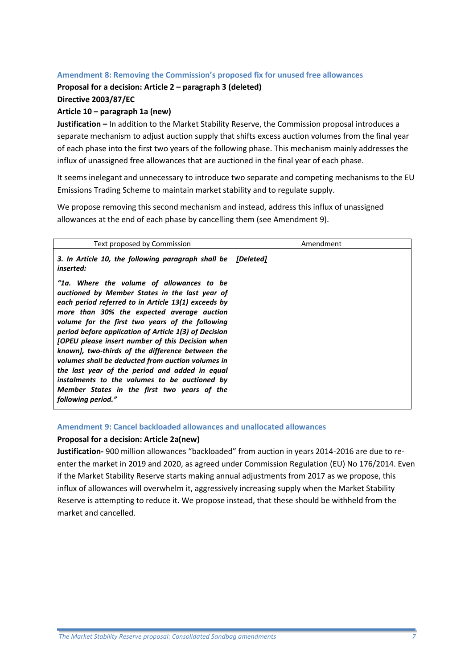#### **Amendment 8: Removing the Commission's proposed fix for unused free allowances**

#### **Proposal for a decision: Article 2 – paragraph 3 (deleted)**

**Directive 2003/87/EC**

#### **Article 10 – paragraph 1a (new)**

**Justification –** In addition to the Market Stability Reserve, the Commission proposal introduces a separate mechanism to adjust auction supply that shifts excess auction volumes from the final year of each phase into the first two years of the following phase. This mechanism mainly addresses the influx of unassigned free allowances that are auctioned in the final year of each phase.

It seems inelegant and unnecessary to introduce two separate and competing mechanisms to the EU Emissions Trading Scheme to maintain market stability and to regulate supply.

We propose removing this second mechanism and instead, address this influx of unassigned allowances at the end of each phase by cancelling them (see Amendment 9).

| Text proposed by Commission                                                                                                                                                                                                                                                                                                                                                                                                                                                                                                                                                                                                                              | Amendment               |
|----------------------------------------------------------------------------------------------------------------------------------------------------------------------------------------------------------------------------------------------------------------------------------------------------------------------------------------------------------------------------------------------------------------------------------------------------------------------------------------------------------------------------------------------------------------------------------------------------------------------------------------------------------|-------------------------|
| 3. In Article 10, the following paragraph shall be<br><i>inserted:</i>                                                                                                                                                                                                                                                                                                                                                                                                                                                                                                                                                                                   | <i><b>IDeleted1</b></i> |
| "1a. Where the volume of allowances to be<br>auctioned by Member States in the last year of<br>each period referred to in Article 13(1) exceeds by<br>more than 30% the expected average auction<br>volume for the first two years of the following<br>period before application of Article 1(3) of Decision<br><b>[OPEU please insert number of this Decision when</b><br>known], two-thirds of the difference between the<br>volumes shall be deducted from auction volumes in<br>the last year of the period and added in equal<br>instalments to the volumes to be auctioned by<br>Member States in the first two years of the<br>following period." |                         |

#### **Amendment 9: Cancel backloaded allowances and unallocated allowances**

#### **Proposal for a decision: Article 2a(new)**

**Justification-** 900 million allowances "backloaded" from auction in years 2014-2016 are due to reenter the market in 2019 and 2020, as agreed under Commission Regulation (EU) No 176/2014. Even if the Market Stability Reserve starts making annual adjustments from 2017 as we propose, this influx of allowances will overwhelm it, aggressively increasing supply when the Market Stability Reserve is attempting to reduce it. We propose instead, that these should be withheld from the market and cancelled.